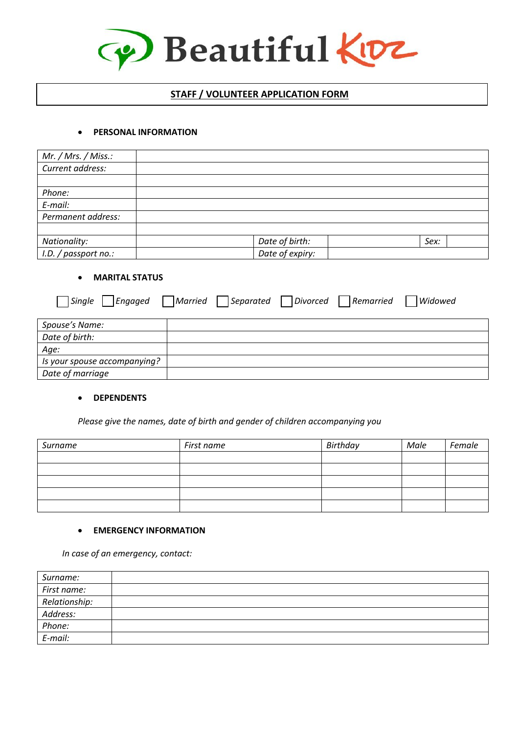

# **STAFF / VOLUNTEER APPLICATION FORM**

## • **PERSONAL INFORMATION**

| Mr. / Mrs. / Miss.:  |                 |      |
|----------------------|-----------------|------|
| Current address:     |                 |      |
|                      |                 |      |
| Phone:               |                 |      |
| E-mail:              |                 |      |
| Permanent address:   |                 |      |
|                      |                 |      |
| Nationality:         | Date of birth:  | Sex: |
| I.D. / passport no.: | Date of expiry: |      |

#### • **MARITAL STATUS**

| Single<br>Engaged            | Married Separated Divorced Remarried |  | Widowed |
|------------------------------|--------------------------------------|--|---------|
| Spouse's Name:               |                                      |  |         |
| Date of birth:               |                                      |  |         |
| Age:                         |                                      |  |         |
| Is your spouse accompanying? |                                      |  |         |
| Date of marriage             |                                      |  |         |

## • **DEPENDENTS**

*Please give the names, date of birth and gender of children accompanying you*

| Surname | First name | Birthday | Male | Female |
|---------|------------|----------|------|--------|
|         |            |          |      |        |
|         |            |          |      |        |
|         |            |          |      |        |
|         |            |          |      |        |
|         |            |          |      |        |

# • **EMERGENCY INFORMATION**

*In case of an emergency, contact:*

| Surname:      |  |
|---------------|--|
| First name:   |  |
| Relationship: |  |
| Address:      |  |
| Phone:        |  |
| E-mail:       |  |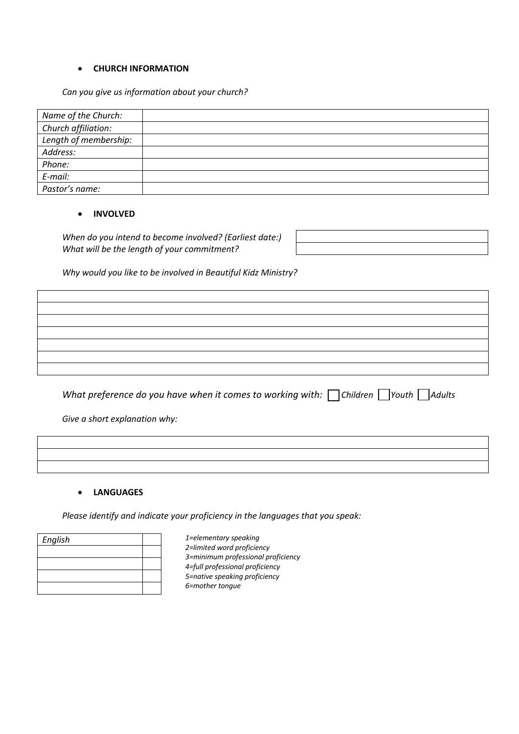#### • **CHURCH INFORMATION**

*Can you give us information about your church?*

| Name of the Church:   |  |
|-----------------------|--|
| Church affiliation:   |  |
| Length of membership: |  |
| Address:              |  |
| Phone:                |  |
| $E$ -mail:            |  |
| Pastor's name:        |  |

## • **INVOLVED**

*When do you intend to become involved? (Earliest date:) What will be the length of your commitment?* 

*Why would you like to be involved in Beautiful Kidz Ministry?*

*What preference do you have when it comes to working with:* Children *Youth* Adults

*Give a short explanation why:*

#### • **LANGUAGES**

*Please identify and indicate your proficiency in the languages that you speak:*

| English |  |
|---------|--|
|         |  |
|         |  |
|         |  |
|         |  |

*1=elementary speaking 2=limited word proficiency 3=minimum professional proficiency 4=full professional proficiency 5=native speaking proficiency 6=mother tongue*